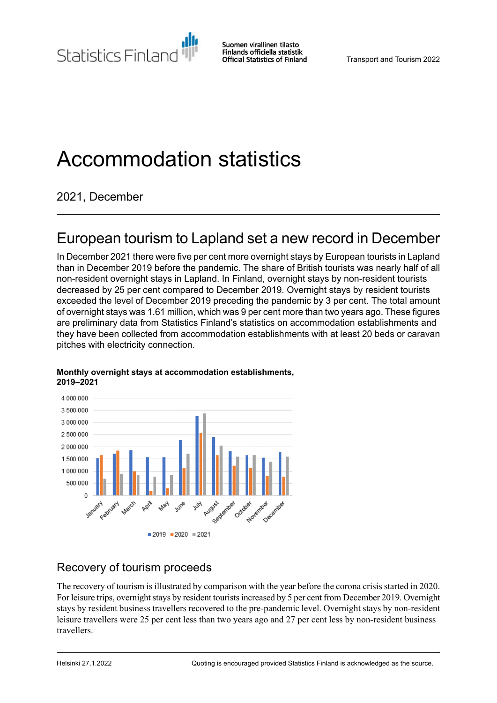Statistics Finland

Suomen virallinen tilasto Finlands officiella statistik **Official Statistics of Finland** 

# Accommodation statistics

2021, December

# European tourism to Lapland set a new record in December

In December 2021 there were five per cent more overnight stays by European tourists in Lapland than in December 2019 before the pandemic. The share of British tourists was nearly half of all non-resident overnight stays in Lapland. In Finland, overnight stays by non-resident tourists decreased by 25 per cent compared to December 2019. Overnight stays by resident tourists exceeded the level of December 2019 preceding the pandemic by 3 per cent. The total amount of overnight stays was 1.61 million, which was 9 per cent more than two years ago. These figures are preliminary data from Statistics Finland's statistics on accommodation establishments and they have been collected from accommodation establishments with at least 20 beds or caravan pitches with electricity connection.



#### **Monthly overnight stays at accommodation establishments, 2019–2021**

# Recovery of tourism proceeds

The recovery of tourism is illustrated by comparison with the year before the corona crisis started in 2020. For leisure trips, overnight stays by resident tourists increased by 5 per cent from December 2019. Overnight stays by resident business travellers recovered to the pre-pandemic level. Overnight stays by non-resident leisure travellers were 25 per cent less than two years ago and 27 per cent less by non-resident business travellers.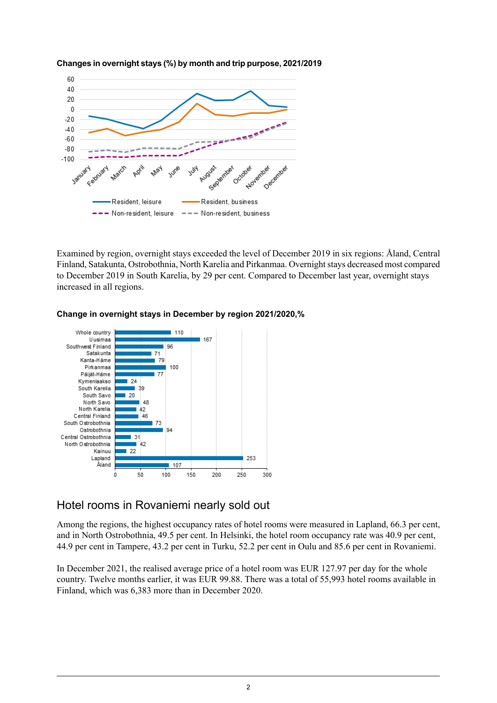

**Changes in overnight stays (%) by month and trip purpose, 2021/2019** 

Examined by region, overnight stays exceeded the level of December 2019 in six regions: Åland, Central Finland, Satakunta, Ostrobothnia, North Karelia and Pirkanmaa. Overnight stays decreased most compared to December 2019 in South Karelia, by 29 per cent. Compared to December last year, overnight stays increased in all regions.



#### **Change in overnight stays in December by region 2021/2020,%**

### Hotel rooms in Rovaniemi nearly sold out

Among the regions, the highest occupancy rates of hotel rooms were measured in Lapland, 66.3 per cent, and in North Ostrobothnia, 49.5 per cent. In Helsinki, the hotel room occupancy rate was 40.9 per cent, 44.9 per cent in Tampere, 43.2 per cent in Turku, 52.2 per cent in Oulu and 85.6 per cent in Rovaniemi.

In December 2021, the realised average price of a hotel room was EUR 127.97 per day for the whole country. Twelve months earlier, it was EUR 99.88. There was a total of 55,993 hotel rooms available in Finland, which was 6,383 more than in December 2020.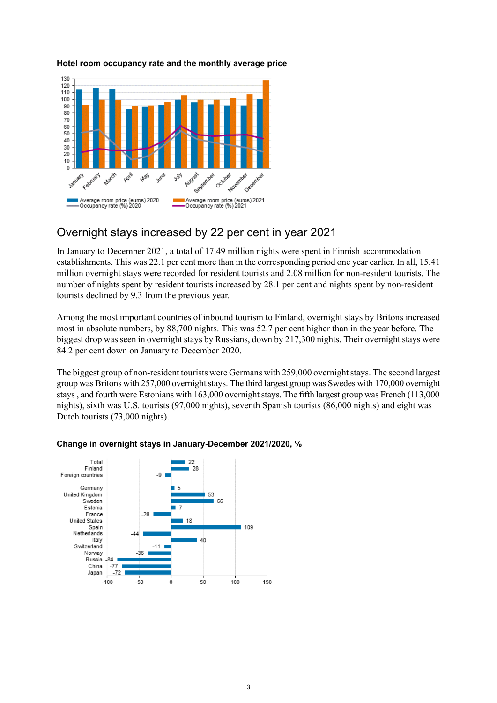

#### **Hotel room occupancy rate and the monthly average price**

### Overnight stays increased by 22 per cent in year 2021

In January to December 2021, a total of 17.49 million nights were spent in Finnish accommodation establishments. This was 22.1 per cent more than in the corresponding period one year earlier. In all, 15.41 million overnight stays were recorded for resident tourists and 2.08 million for non-resident tourists. The number of nights spent by resident tourists increased by 28.1 per cent and nights spent by non-resident tourists declined by 9.3 from the previous year.

Among the most important countries of inbound tourism to Finland, overnight stays by Britons increased most in absolute numbers, by 88,700 nights. This was 52.7 per cent higher than in the year before. The biggest drop was seen in overnight stays by Russians, down by 217,300 nights. Their overnight stays were 84.2 per cent down on January to December 2020.

The biggest group of non-resident tourists were Germans with 259,000 overnight stays. The second largest group was Britons with 257,000 overnight stays. The third largest group was Swedes with 170,000 overnight stays, and fourth were Estonians with 163,000 overnight stays. The fifth largest group was French (113,000) nights), sixth was U.S. tourists (97,000 nights), seventh Spanish tourists (86,000 nights) and eight was Dutch tourists (73,000 nights).



### **Change in overnight stays in January-December 2021/2020, %**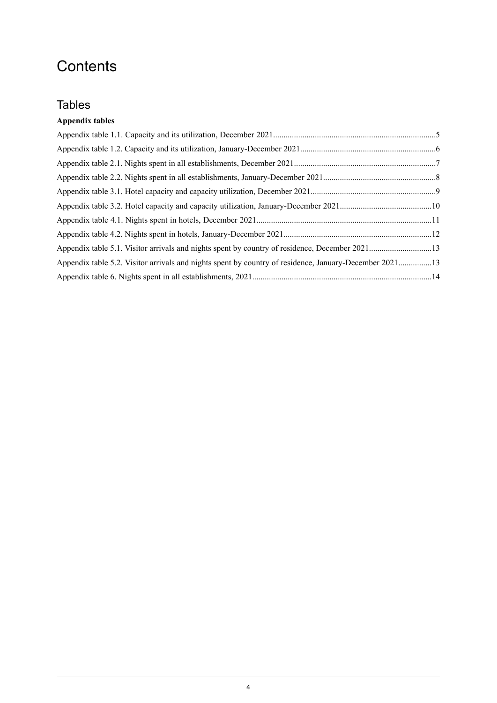# **Contents**

# **Tables**

### **Appendix tables**

| Appendix table 5.2. Visitor arrivals and nights spent by country of residence, January-December 202113 |  |
|--------------------------------------------------------------------------------------------------------|--|
|                                                                                                        |  |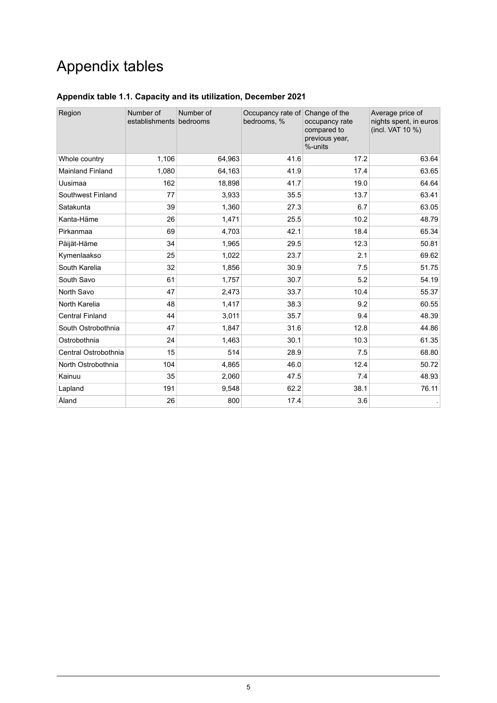# Appendix tables

| Region                  | Number of<br>establishments bedrooms | Number of | Occupancy rate of Change of the<br>bedrooms, % | occupancy rate<br>compared to<br>previous year,<br>%-units | Average price of<br>nights spent, in euros<br>(incl. VAT 10 %) |
|-------------------------|--------------------------------------|-----------|------------------------------------------------|------------------------------------------------------------|----------------------------------------------------------------|
| Whole country           | 1,106                                | 64,963    | 41.6                                           | 17.2                                                       | 63.64                                                          |
| <b>Mainland Finland</b> | 1,080                                | 64,163    | 41.9                                           | 17.4                                                       | 63.65                                                          |
| Uusimaa                 | 162                                  | 18,898    | 41.7                                           | 19.0                                                       | 64.64                                                          |
| Southwest Finland       | 77                                   | 3,933     | 35.5                                           | 13.7                                                       | 63.41                                                          |
| Satakunta               | 39                                   | 1,360     | 27.3                                           | 6.7                                                        | 63.05                                                          |
| Kanta-Häme              | 26                                   | 1,471     | 25.5                                           | 10.2                                                       | 48.79                                                          |
| Pirkanmaa               | 69                                   | 4,703     | 42.1                                           | 18.4                                                       | 65.34                                                          |
| Päijät-Häme             | 34                                   | 1,965     | 29.5                                           | 12.3                                                       | 50.81                                                          |
| Kymenlaakso             | 25                                   | 1,022     | 23.7                                           | 2.1                                                        | 69.62                                                          |
| South Karelia           | 32                                   | 1,856     | 30.9                                           | 7.5                                                        | 51.75                                                          |
| South Savo              | 61                                   | 1,757     | 30.7                                           | 5.2                                                        | 54.19                                                          |
| North Savo              | 47                                   | 2,473     | 33.7                                           | 10.4                                                       | 55.37                                                          |
| North Karelia           | 48                                   | 1,417     | 38.3                                           | 9.2                                                        | 60.55                                                          |
| <b>Central Finland</b>  | 44                                   | 3,011     | 35.7                                           | 9.4                                                        | 48.39                                                          |
| South Ostrobothnia      | 47                                   | 1,847     | 31.6                                           | 12.8                                                       | 44.86                                                          |
| Ostrobothnia            | 24                                   | 1,463     | 30.1                                           | 10.3                                                       | 61.35                                                          |
| Central Ostrobothnia    | 15                                   | 514       | 28.9                                           | 7.5                                                        | 68.80                                                          |
| North Ostrobothnia      | 104                                  | 4,865     | 46.0                                           | 12.4                                                       | 50.72                                                          |
| Kainuu                  | 35                                   | 2,060     | 47.5                                           | 7.4                                                        | 48.93                                                          |
| Lapland                 | 191                                  | 9,548     | 62.2                                           | 38.1                                                       | 76.11                                                          |
| Åland                   | 26                                   | 800       | 17.4                                           | 3.6                                                        |                                                                |

### <span id="page-4-0"></span>**Appendix table 1.1. Capacity and its utilization, December 2021**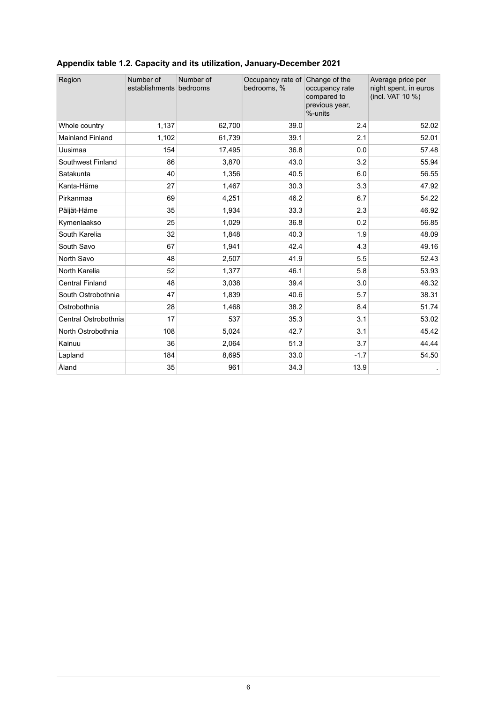| Region                  | Number of<br>establishments bedrooms | Number of | Occupancy rate of Change of the<br>bedrooms, % | occupancy rate<br>compared to<br>previous year,<br>%-units | Average price per<br>night spent, in euros<br>(incl. VAT 10 %) |
|-------------------------|--------------------------------------|-----------|------------------------------------------------|------------------------------------------------------------|----------------------------------------------------------------|
| Whole country           | 1,137                                | 62,700    | 39.0                                           | 2.4                                                        | 52.02                                                          |
| <b>Mainland Finland</b> | 1,102                                | 61,739    | 39.1                                           | 2.1                                                        | 52.01                                                          |
| Uusimaa                 | 154                                  | 17,495    | 36.8                                           | 0.0                                                        | 57.48                                                          |
| Southwest Finland       | 86                                   | 3,870     | 43.0                                           | 3.2                                                        | 55.94                                                          |
| Satakunta               | 40                                   | 1,356     | 40.5                                           | 6.0                                                        | 56.55                                                          |
| Kanta-Häme              | 27                                   | 1,467     | 30.3                                           | 3.3                                                        | 47.92                                                          |
| Pirkanmaa               | 69                                   | 4,251     | 46.2                                           | 6.7                                                        | 54.22                                                          |
| Päijät-Häme             | 35                                   | 1,934     | 33.3                                           | 2.3                                                        | 46.92                                                          |
| Kymenlaakso             | 25                                   | 1,029     | 36.8                                           | 0.2                                                        | 56.85                                                          |
| South Karelia           | 32                                   | 1,848     | 40.3                                           | 1.9                                                        | 48.09                                                          |
| South Savo              | 67                                   | 1,941     | 42.4                                           | 4.3                                                        | 49.16                                                          |
| North Savo              | 48                                   | 2,507     | 41.9                                           | 5.5                                                        | 52.43                                                          |
| North Karelia           | 52                                   | 1,377     | 46.1                                           | 5.8                                                        | 53.93                                                          |
| <b>Central Finland</b>  | 48                                   | 3,038     | 39.4                                           | 3.0                                                        | 46.32                                                          |
| South Ostrobothnia      | 47                                   | 1,839     | 40.6                                           | 5.7                                                        | 38.31                                                          |
| Ostrobothnia            | 28                                   | 1,468     | 38.2                                           | 8.4                                                        | 51.74                                                          |
| Central Ostrobothnia    | 17                                   | 537       | 35.3                                           | 3.1                                                        | 53.02                                                          |
| North Ostrobothnia      | 108                                  | 5,024     | 42.7                                           | 3.1                                                        | 45.42                                                          |
| Kainuu                  | 36                                   | 2,064     | 51.3                                           | 3.7                                                        | 44.44                                                          |
| Lapland                 | 184                                  | 8,695     | 33.0                                           | $-1.7$                                                     | 54.50                                                          |
| Åland                   | 35                                   | 961       | 34.3                                           | 13.9                                                       |                                                                |

# <span id="page-5-0"></span>**Appendix table 1.2. Capacity and its utilization, January-December 2021**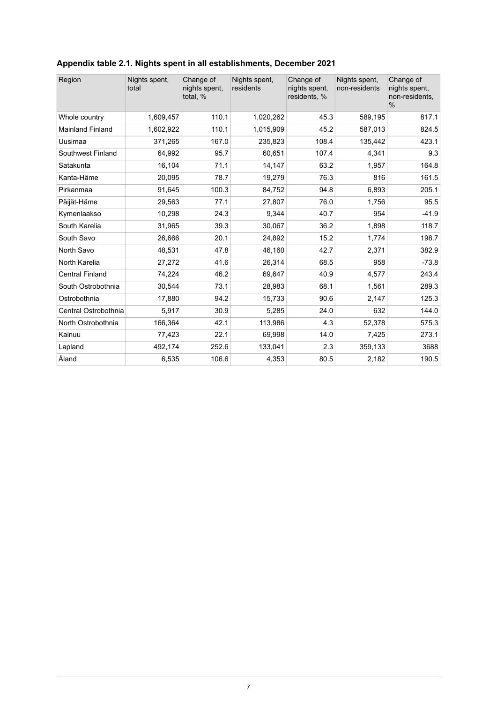| Region                  | Nights spent,<br>total | Change of<br>nights spent,<br>total, % | Nights spent.<br>residents | Change of<br>nights spent,<br>residents, % | Nights spent,<br>non-residents | Change of<br>nights spent,<br>non-residents,<br>$\frac{0}{0}$ |
|-------------------------|------------------------|----------------------------------------|----------------------------|--------------------------------------------|--------------------------------|---------------------------------------------------------------|
| Whole country           | 1,609,457              | 110.1                                  | 1,020,262                  | 45.3                                       | 589,195                        | 817.1                                                         |
| <b>Mainland Finland</b> | 1,602,922              | 110.1                                  | 1,015,909                  | 45.2                                       | 587,013                        | 824.5                                                         |
| Uusimaa                 | 371,265                | 167.0                                  | 235,823                    | 108.4                                      | 135.442                        | 423.1                                                         |
| Southwest Finland       | 64,992                 | 95.7                                   | 60,651                     | 107.4                                      | 4,341                          | 9.3                                                           |
| Satakunta               | 16,104                 | 71.1                                   | 14,147                     | 63.2                                       | 1,957                          | 164.8                                                         |
| Kanta-Häme              | 20,095                 | 78.7                                   | 19,279                     | 76.3                                       | 816                            | 161.5                                                         |
| Pirkanmaa               | 91,645                 | 100.3                                  | 84,752                     | 94.8                                       | 6,893                          | 205.1                                                         |
| Päijät-Häme             | 29,563                 | 77.1                                   | 27,807                     | 76.0                                       | 1,756                          | 95.5                                                          |
| Kymenlaakso             | 10,298                 | 24.3                                   | 9.344                      | 40.7                                       | 954                            | $-41.9$                                                       |
| South Karelia           | 31,965                 | 39.3                                   | 30,067                     | 36.2                                       | 1,898                          | 118.7                                                         |
| South Savo              | 26,666                 | 20.1                                   | 24,892                     | 15.2                                       | 1,774                          | 198.7                                                         |
| North Savo              | 48,531                 | 47.8                                   | 46,160                     | 42.7                                       | 2,371                          | 382.9                                                         |
| North Karelia           | 27,272                 | 41.6                                   | 26,314                     | 68.5                                       | 958                            | $-73.8$                                                       |
| <b>Central Finland</b>  | 74,224                 | 46.2                                   | 69,647                     | 40.9                                       | 4,577                          | 243.4                                                         |
| South Ostrobothnia      | 30,544                 | 73.1                                   | 28,983                     | 68.1                                       | 1,561                          | 289.3                                                         |
| Ostrobothnia            | 17,880                 | 94.2                                   | 15,733                     | 90.6                                       | 2,147                          | 125.3                                                         |
| Central Ostrobothnia    | 5,917                  | 30.9                                   | 5,285                      | 24.0                                       | 632                            | 144.0                                                         |
| North Ostrobothnia      | 166,364                | 42.1                                   | 113,986                    | 4.3                                        | 52,378                         | 575.3                                                         |
| Kainuu                  | 77,423                 | 22.1                                   | 69,998                     | 14.0                                       | 7,425                          | 273.1                                                         |
| Lapland                 | 492,174                | 252.6                                  | 133,041                    | 2.3                                        | 359,133                        | 3688                                                          |
| Åland                   | 6,535                  | 106.6                                  | 4,353                      | 80.5                                       | 2,182                          | 190.5                                                         |

### <span id="page-6-0"></span>**Appendix table 2.1. Nights spent in all establishments, December 2021**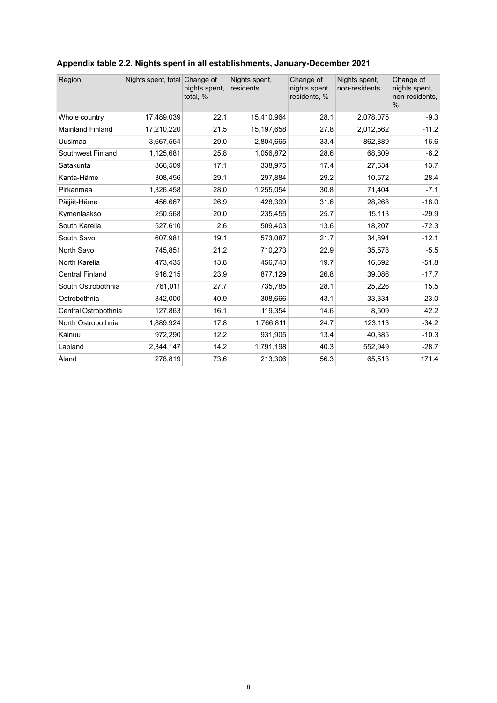| Region                  | Nights spent, total Change of | nights spent,<br>total, % | Nights spent.<br>residents | Change of<br>nights spent,<br>residents, % | Nights spent.<br>non-residents | Change of<br>nights spent,<br>non-residents,<br>$\frac{0}{0}$ |
|-------------------------|-------------------------------|---------------------------|----------------------------|--------------------------------------------|--------------------------------|---------------------------------------------------------------|
| Whole country           | 17,489,039                    | 22.1                      | 15,410,964                 | 28.1                                       | 2,078,075                      | $-9.3$                                                        |
| <b>Mainland Finland</b> | 17,210,220                    | 21.5                      | 15,197,658                 | 27.8                                       | 2,012,562                      | $-11.2$                                                       |
| Uusimaa                 | 3,667,554                     | 29.0                      | 2,804,665                  | 33.4                                       | 862,889                        | 16.6                                                          |
| Southwest Finland       | 1,125,681                     | 25.8                      | 1,056,872                  | 28.6                                       | 68,809                         | $-6.2$                                                        |
| Satakunta               | 366,509                       | 17.1                      | 338,975                    | 17.4                                       | 27,534                         | 13.7                                                          |
| Kanta-Häme              | 308,456                       | 29.1                      | 297,884                    | 29.2                                       | 10,572                         | 28.4                                                          |
| Pirkanmaa               | 1,326,458                     | 28.0                      | 1,255,054                  | 30.8                                       | 71,404                         | $-7.1$                                                        |
| Päijät-Häme             | 456,667                       | 26.9                      | 428,399                    | 31.6                                       | 28,268                         | $-18.0$                                                       |
| Kymenlaakso             | 250,568                       | 20.0                      | 235,455                    | 25.7                                       | 15,113                         | $-29.9$                                                       |
| South Karelia           | 527,610                       | 2.6                       | 509,403                    | 13.6                                       | 18,207                         | $-72.3$                                                       |
| South Savo              | 607,981                       | 19.1                      | 573,087                    | 21.7                                       | 34,894                         | $-12.1$                                                       |
| North Savo              | 745,851                       | 21.2                      | 710,273                    | 22.9                                       | 35,578                         | $-5.5$                                                        |
| North Karelia           | 473,435                       | 13.8                      | 456,743                    | 19.7                                       | 16,692                         | $-51.8$                                                       |
| <b>Central Finland</b>  | 916,215                       | 23.9                      | 877,129                    | 26.8                                       | 39,086                         | $-17.7$                                                       |
| South Ostrobothnia      | 761,011                       | 27.7                      | 735,785                    | 28.1                                       | 25,226                         | 15.5                                                          |
| Ostrobothnia            | 342,000                       | 40.9                      | 308,666                    | 43.1                                       | 33,334                         | 23.0                                                          |
| Central Ostrobothnia    | 127,863                       | 16.1                      | 119,354                    | 14.6                                       | 8,509                          | 42.2                                                          |
| North Ostrobothnia      | 1,889,924                     | 17.8                      | 1,766,811                  | 24.7                                       | 123,113                        | $-34.2$                                                       |
| Kainuu                  | 972,290                       | 12.2                      | 931,905                    | 13.4                                       | 40,385                         | $-10.3$                                                       |
| Lapland                 | 2,344,147                     | 14.2                      | 1,791,198                  | 40.3                                       | 552,949                        | $-28.7$                                                       |
| Åland                   | 278,819                       | 73.6                      | 213,306                    | 56.3                                       | 65,513                         | 171.4                                                         |

### <span id="page-7-0"></span>**Appendix table 2.2. Nights spent in all establishments, January-December 2021**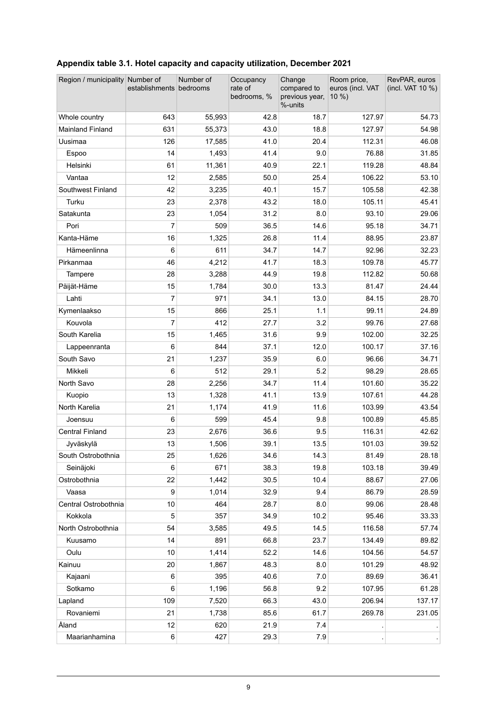| Region / municipality Number of | establishments bedrooms | Number of | Occupancy<br>rate of<br>bedrooms, % | Change<br>compared to<br>previous year,<br>%-units | Room price,<br>euros (incl. VAT<br>10 %) | RevPAR, euros<br>(incl. VAT 10 %) |
|---------------------------------|-------------------------|-----------|-------------------------------------|----------------------------------------------------|------------------------------------------|-----------------------------------|
| Whole country                   | 643                     | 55,993    | 42.8                                | 18.7                                               | 127.97                                   | 54.73                             |
| <b>Mainland Finland</b>         | 631                     | 55,373    | 43.0                                | 18.8                                               | 127.97                                   | 54.98                             |
| Uusimaa                         | 126                     | 17,585    | 41.0                                | 20.4                                               | 112.31                                   | 46.08                             |
| Espoo                           | 14                      | 1,493     | 41.4                                | 9.0                                                | 76.88                                    | 31.85                             |
| Helsinki                        | 61                      | 11,361    | 40.9                                | 22.1                                               | 119.28                                   | 48.84                             |
| Vantaa                          | 12                      | 2,585     | 50.0                                | 25.4                                               | 106.22                                   | 53.10                             |
| Southwest Finland               | 42                      | 3,235     | 40.1                                | 15.7                                               | 105.58                                   | 42.38                             |
| Turku                           | 23                      | 2,378     | 43.2                                | 18.0                                               | 105.11                                   | 45.41                             |
| Satakunta                       | 23                      | 1,054     | 31.2                                | 8.0                                                | 93.10                                    | 29.06                             |
| Pori                            | 7                       | 509       | 36.5                                | 14.6                                               | 95.18                                    | 34.71                             |
| Kanta-Häme                      | 16                      | 1,325     | 26.8                                | 11.4                                               | 88.95                                    | 23.87                             |
| Hämeenlinna                     | 6                       | 611       | 34.7                                | 14.7                                               | 92.96                                    | 32.23                             |
| Pirkanmaa                       | 46                      | 4,212     | 41.7                                | 18.3                                               | 109.78                                   | 45.77                             |
| Tampere                         | 28                      | 3,288     | 44.9                                | 19.8                                               | 112.82                                   | 50.68                             |
| Päijät-Häme                     | 15                      | 1,784     | 30.0                                | 13.3                                               | 81.47                                    | 24.44                             |
| Lahti                           | $\overline{7}$          | 971       | 34.1                                | 13.0                                               | 84.15                                    | 28.70                             |
| Kymenlaakso                     | 15                      | 866       | 25.1                                | 1.1                                                | 99.11                                    | 24.89                             |
| Kouvola                         | $\overline{7}$          | 412       | 27.7                                | 3.2                                                | 99.76                                    | 27.68                             |
| South Karelia                   | 15                      | 1,465     | 31.6                                | 9.9                                                | 102.00                                   | 32.25                             |
| Lappeenranta                    | 6                       | 844       | 37.1                                | 12.0                                               | 100.17                                   | 37.16                             |
| South Savo                      | 21                      | 1,237     | 35.9                                | 6.0                                                | 96.66                                    | 34.71                             |
| Mikkeli                         | 6                       | 512       | 29.1                                | 5.2                                                | 98.29                                    | 28.65                             |
| North Savo                      | 28                      | 2,256     | 34.7                                | 11.4                                               | 101.60                                   | 35.22                             |
| Kuopio                          | 13                      | 1,328     | 41.1                                | 13.9                                               | 107.61                                   | 44.28                             |
| North Karelia                   | 21                      | 1,174     | 41.9                                | 11.6                                               | 103.99                                   | 43.54                             |
| Joensuu                         | 6                       | 599       | 45.4                                | 9.8                                                | 100.89                                   | 45.85                             |
| <b>Central Finland</b>          | 23                      | 2,676     | 36.6                                | 95                                                 | 116.31                                   | 42.62                             |
| Jyväskylä                       | 13                      | 1,506     | 39.1                                | 13.5                                               | 101.03                                   | 39.52                             |
| South Ostrobothnia              | 25                      | 1,626     | 34.6                                | 14.3                                               | 81.49                                    | 28.18                             |
| Seinäjoki                       | 6                       | 671       | 38.3                                | 19.8                                               | 103.18                                   | 39.49                             |
| Ostrobothnia                    | 22                      | 1,442     | 30.5                                | 10.4                                               | 88.67                                    | 27.06                             |
| Vaasa                           | 9                       | 1,014     | 32.9                                | 9.4                                                | 86.79                                    | 28.59                             |
| Central Ostrobothnia            | 10                      | 464       | 28.7                                | 8.0                                                | 99.06                                    | 28.48                             |
| Kokkola                         | 5                       | 357       | 34.9                                | 10.2                                               | 95.46                                    | 33.33                             |
| North Ostrobothnia              | 54                      | 3,585     | 49.5                                | 14.5                                               | 116.58                                   | 57.74                             |
| Kuusamo                         | 14                      | 891       | 66.8                                | 23.7                                               | 134.49                                   | 89.82                             |
| Oulu                            | 10                      | 1,414     | 52.2                                | 14.6                                               | 104.56                                   | 54.57                             |
| Kainuu                          | 20                      | 1,867     | 48.3                                | 8.0                                                | 101.29                                   | 48.92                             |
| Kajaani                         | 6                       | 395       | 40.6                                | 7.0                                                | 89.69                                    | 36.41                             |
| Sotkamo                         | 6                       | 1,196     | 56.8                                | 9.2                                                | 107.95                                   | 61.28                             |
| Lapland                         | 109                     | 7,520     | 66.3                                | 43.0                                               | 206.94                                   | 137.17                            |
| Rovaniemi                       | 21                      | 1,738     | 85.6                                | 61.7                                               | 269.78                                   | 231.05                            |
| Åland                           | 12                      | 620       | 21.9                                | 7.4                                                |                                          |                                   |
| Maarianhamina                   | 6                       | 427       | 29.3                                | 7.9                                                |                                          |                                   |

# <span id="page-8-0"></span>**Appendix table 3.1. Hotel capacity and capacity utilization, December 2021**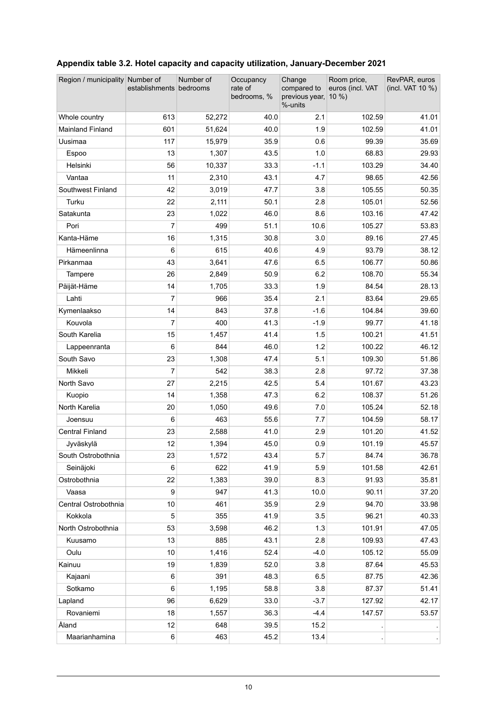| Region / municipality Number of | establishments bedrooms | Number of | Occupancy<br>rate of<br>bedrooms, % | Change<br>compared to<br>previous year, 10 %)<br>%-units | Room price,<br>euros (incl. VAT | RevPAR, euros<br>(incl. VAT 10 %) |
|---------------------------------|-------------------------|-----------|-------------------------------------|----------------------------------------------------------|---------------------------------|-----------------------------------|
| Whole country                   | 613                     | 52,272    | 40.0                                | 2.1                                                      | 102.59                          | 41.01                             |
| <b>Mainland Finland</b>         | 601                     | 51,624    | 40.0                                | 1.9                                                      | 102.59                          | 41.01                             |
| Uusimaa                         | 117                     | 15,979    | 35.9                                | 0.6                                                      | 99.39                           | 35.69                             |
| Espoo                           | 13                      | 1,307     | 43.5                                | 1.0                                                      | 68.83                           | 29.93                             |
| Helsinki                        | 56                      | 10,337    | 33.3                                | $-1.1$                                                   | 103.29                          | 34.40                             |
| Vantaa                          | 11                      | 2,310     | 43.1                                | 4.7                                                      | 98.65                           | 42.56                             |
| Southwest Finland               | 42                      | 3,019     | 47.7                                | 3.8                                                      | 105.55                          | 50.35                             |
| Turku                           | 22                      | 2,111     | 50.1                                | 2.8                                                      | 105.01                          | 52.56                             |
| Satakunta                       | 23                      | 1,022     | 46.0                                | 8.6                                                      | 103.16                          | 47.42                             |
| Pori                            | 7                       | 499       | 51.1                                | 10.6                                                     | 105.27                          | 53.83                             |
| Kanta-Häme                      | 16                      | 1,315     | 30.8                                | 3.0                                                      | 89.16                           | 27.45                             |
| Hämeenlinna                     | 6                       | 615       | 40.6                                | 4.9                                                      | 93.79                           | 38.12                             |
| Pirkanmaa                       | 43                      | 3,641     | 47.6                                | 6.5                                                      | 106.77                          | 50.86                             |
| Tampere                         | 26                      | 2,849     | 50.9                                | 6.2                                                      | 108.70                          | 55.34                             |
| Päijät-Häme                     | 14                      | 1,705     | 33.3                                | 1.9                                                      | 84.54                           | 28.13                             |
| Lahti                           | 7                       | 966       | 35.4                                | 2.1                                                      | 83.64                           | 29.65                             |
| Kymenlaakso                     | 14                      | 843       | 37.8                                | $-1.6$                                                   | 104.84                          | 39.60                             |
| Kouvola                         | 7                       | 400       | 41.3                                | $-1.9$                                                   | 99.77                           | 41.18                             |
| South Karelia                   | 15                      | 1,457     | 41.4                                | 1.5                                                      | 100.21                          | 41.51                             |
| Lappeenranta                    | 6                       | 844       | 46.0                                | 1.2                                                      | 100.22                          | 46.12                             |
| South Savo                      | 23                      | 1,308     | 47.4                                | 5.1                                                      | 109.30                          | 51.86                             |
| Mikkeli                         | 7                       | 542       | 38.3                                | 2.8                                                      | 97.72                           | 37.38                             |
| North Savo                      | 27                      | 2,215     | 42.5                                | 5.4                                                      | 101.67                          | 43.23                             |
| Kuopio                          | 14                      | 1,358     | 47.3                                | 6.2                                                      | 108.37                          | 51.26                             |
| North Karelia                   | 20                      | 1,050     | 49.6                                | 7.0                                                      | 105.24                          | 52.18                             |
| Joensuu                         | 6                       | 463       | 55.6                                | 7.7                                                      | 104.59                          | 58.17                             |
| <b>Central Finland</b>          | 23                      | 2,588     | 41.0                                | 2.9                                                      | 101.20                          | 41.52                             |
| Jyväskylä                       | 12                      | 1,394     | 45.0                                | 0.9                                                      | 101.19                          | 45.57                             |
| South Ostrobothnia              | 23                      | 1,572     | 43.4                                | 5.7                                                      | 84.74                           | 36.78                             |
| Seinäjoki                       | 6                       | 622       | 41.9                                | 5.9                                                      | 101.58                          | 42.61                             |
| Ostrobothnia                    | 22                      | 1,383     | 39.0                                | 8.3                                                      | 91.93                           | 35.81                             |
| Vaasa                           | 9                       | 947       | 41.3                                | 10.0                                                     | 90.11                           | 37.20                             |
| Central Ostrobothnia            | 10                      | 461       | 35.9                                | 2.9                                                      | 94.70                           | 33.98                             |
| Kokkola                         | 5                       | 355       | 41.9                                | 3.5                                                      | 96.21                           | 40.33                             |
| North Ostrobothnia              | 53                      | 3,598     | 46.2                                | 1.3                                                      | 101.91                          | 47.05                             |
| Kuusamo                         | 13                      | 885       | 43.1                                | 2.8                                                      | 109.93                          | 47.43                             |
| Oulu                            | 10                      | 1,416     | 52.4                                | $-4.0$                                                   | 105.12                          | 55.09                             |
| Kainuu                          | 19                      | 1,839     | 52.0                                | 3.8                                                      | 87.64                           | 45.53                             |
| Kajaani                         | 6                       | 391       | 48.3                                | 6.5                                                      | 87.75                           | 42.36                             |
| Sotkamo                         | 6                       | 1,195     | 58.8                                | 3.8                                                      | 87.37                           | 51.41                             |
| Lapland                         | 96                      | 6,629     | 33.0                                | $-3.7$                                                   | 127.92                          | 42.17                             |
| Rovaniemi                       | 18                      | 1,557     | 36.3                                | $-4.4$                                                   | 147.57                          | 53.57                             |
| Åland                           | 12                      | 648       | 39.5                                | 15.2                                                     |                                 |                                   |
| Maarianhamina                   | 6                       | 463       | 45.2                                | 13.4                                                     |                                 |                                   |

# <span id="page-9-0"></span>**Appendix table 3.2. Hotel capacity and capacity utilization, January-December 2021**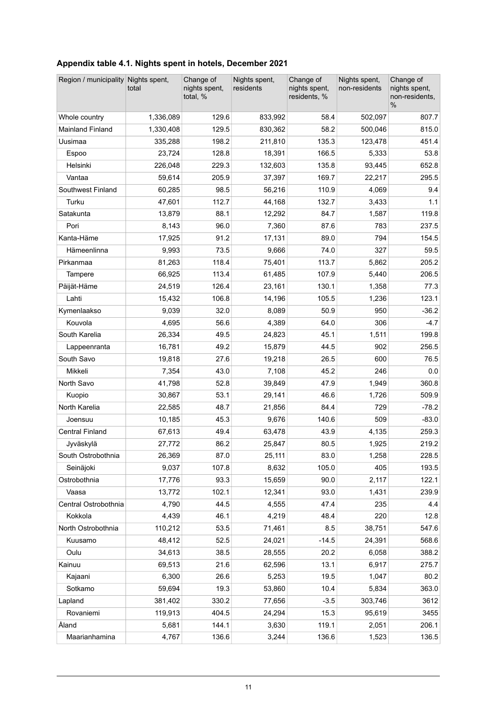<span id="page-10-0"></span>

| Region / municipality Nights spent, | total     | Change of<br>nights spent,<br>total, % | Nights spent,<br>residents | Change of<br>nights spent,<br>residents, % | Nights spent,<br>non-residents | Change of<br>nights spent,<br>non-residents.<br>$\%$ |
|-------------------------------------|-----------|----------------------------------------|----------------------------|--------------------------------------------|--------------------------------|------------------------------------------------------|
| Whole country                       | 1,336,089 | 129.6                                  | 833,992                    | 58.4                                       | 502,097                        | 807.7                                                |
| <b>Mainland Finland</b>             | 1,330,408 | 129.5                                  | 830,362                    | 58.2                                       | 500,046                        | 815.0                                                |
| Uusimaa                             | 335,288   | 198.2                                  | 211,810                    | 135.3                                      | 123,478                        | 451.4                                                |
| Espoo                               | 23,724    | 128.8                                  | 18,391                     | 166.5                                      | 5,333                          | 53.8                                                 |
| Helsinki                            | 226,048   | 229.3                                  | 132,603                    | 135.8                                      | 93,445                         | 652.8                                                |
| Vantaa                              | 59,614    | 205.9                                  | 37,397                     | 169.7                                      | 22,217                         | 295.5                                                |
| Southwest Finland                   | 60,285    | 98.5                                   | 56,216                     | 110.9                                      | 4,069                          | 9.4                                                  |
| Turku                               | 47,601    | 112.7                                  | 44,168                     | 132.7                                      | 3,433                          | 1.1                                                  |
| Satakunta                           | 13,879    | 88.1                                   | 12,292                     | 84.7                                       | 1,587                          | 119.8                                                |
| Pori                                | 8,143     | 96.0                                   | 7,360                      | 87.6                                       | 783                            | 237.5                                                |
| Kanta-Häme                          | 17,925    | 91.2                                   | 17,131                     | 89.0                                       | 794                            | 154.5                                                |
| Hämeenlinna                         | 9,993     | 73.5                                   | 9,666                      | 74.0                                       | 327                            | 59.5                                                 |
| Pirkanmaa                           | 81,263    | 118.4                                  | 75,401                     | 113.7                                      | 5,862                          | 205.2                                                |
| Tampere                             | 66,925    | 113.4                                  | 61,485                     | 107.9                                      | 5,440                          | 206.5                                                |
| Päijät-Häme                         | 24,519    | 126.4                                  | 23,161                     | 130.1                                      | 1,358                          | 77.3                                                 |
| Lahti                               | 15,432    | 106.8                                  | 14,196                     | 105.5                                      | 1,236                          | 123.1                                                |
| Kymenlaakso                         | 9,039     | 32.0                                   | 8,089                      | 50.9                                       | 950                            | $-36.2$                                              |
| Kouvola                             | 4,695     | 56.6                                   | 4,389                      | 64.0                                       | 306                            | $-4.7$                                               |
| South Karelia                       | 26,334    | 49.5                                   | 24,823                     | 45.1                                       | 1,511                          | 199.8                                                |
| Lappeenranta                        | 16,781    | 49.2                                   | 15,879                     | 44.5                                       | 902                            | 256.5                                                |
| South Savo                          | 19,818    | 27.6                                   | 19,218                     | 26.5                                       | 600                            | 76.5                                                 |
| Mikkeli                             | 7,354     | 43.0                                   | 7,108                      | 45.2                                       | 246                            | 0.0                                                  |
| North Savo                          | 41,798    | 52.8                                   | 39,849                     | 47.9                                       | 1,949                          | 360.8                                                |
| Kuopio                              | 30,867    | 53.1                                   | 29,141                     | 46.6                                       | 1,726                          | 509.9                                                |
| North Karelia                       | 22,585    | 48.7                                   | 21,856                     | 84.4                                       | 729                            | $-78.2$                                              |
| Joensuu                             | 10,185    | 45.3                                   | 9,676                      | 140.6                                      | 509                            | $-83.0$                                              |
| <b>Central Finland</b>              | 67,613    | 49.4                                   | 63,478                     | 43.9                                       | 4,135                          | 259.3                                                |
| Jyväskylä                           | 27,772    | 86.2                                   | 25,847                     | 80.5                                       | 1,925                          | 219.2                                                |
| South Ostrobothnia                  | 26,369    | 87.0                                   | 25,111                     | 83.0                                       | 1,258                          | 228.5                                                |
| Seinäjoki                           | 9,037     | 107.8                                  | 8,632                      | 105.0                                      | 405                            | 193.5                                                |
| Ostrobothnia                        | 17,776    | 93.3                                   | 15,659                     | 90.0                                       | 2,117                          | 122.1                                                |
| Vaasa                               | 13,772    | 102.1                                  | 12,341                     | 93.0                                       | 1,431                          | 239.9                                                |
| Central Ostrobothnia                | 4,790     | 44.5                                   | 4,555                      | 47.4                                       | 235                            | 4.4                                                  |
| Kokkola                             | 4,439     | 46.1                                   | 4,219                      | 48.4                                       | 220                            | 12.8                                                 |
| North Ostrobothnia                  | 110,212   | 53.5                                   | 71,461                     | 8.5                                        | 38,751                         | 547.6                                                |
| Kuusamo                             | 48,412    | 52.5                                   | 24,021                     | $-14.5$                                    | 24,391                         | 568.6                                                |
| Oulu                                | 34,613    | 38.5                                   | 28,555                     | 20.2                                       | 6,058                          | 388.2                                                |
| Kainuu                              | 69,513    | 21.6                                   | 62,596                     | 13.1                                       | 6,917                          | 275.7                                                |
| Kajaani                             | 6,300     | 26.6                                   | 5,253                      | 19.5                                       | 1,047                          | 80.2                                                 |
| Sotkamo                             | 59,694    | 19.3                                   | 53,860                     | 10.4                                       | 5,834                          | 363.0                                                |
| Lapland                             | 381,402   | 330.2                                  | 77,656                     | $-3.5$                                     | 303,746                        | 3612                                                 |
| Rovaniemi                           | 119,913   | 404.5                                  | 24,294                     | 15.3                                       | 95,619                         | 3455                                                 |
| Åland                               | 5,681     | 144.1                                  | 3,630                      | 119.1                                      | 2,051                          | 206.1                                                |
| Maarianhamina                       | 4,767     | 136.6                                  | 3,244                      | 136.6                                      | 1,523                          | 136.5                                                |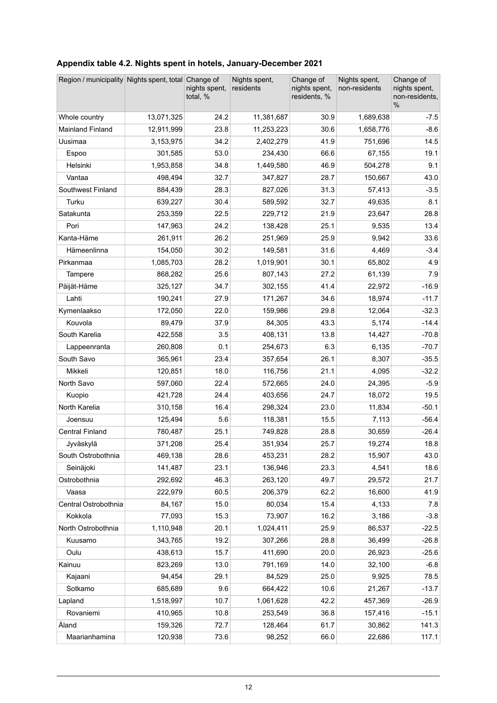<span id="page-11-0"></span>

| Appendix table 4.2. Nights spent in hotels, January-December 2021 |  |  |
|-------------------------------------------------------------------|--|--|
|                                                                   |  |  |

| Region / municipality Nights spent, total Change of |            | nights spent,<br>total, % | Nights spent,<br>residents | Change of<br>nights spent,<br>residents, % | Nights spent,<br>non-residents | Change of<br>nights spent,<br>non-residents,<br>$\%$ |
|-----------------------------------------------------|------------|---------------------------|----------------------------|--------------------------------------------|--------------------------------|------------------------------------------------------|
| Whole country                                       | 13,071,325 | 24.2                      | 11,381,687                 | 30.9                                       | 1,689,638                      | $-7.5$                                               |
| <b>Mainland Finland</b>                             | 12,911,999 | 23.8                      | 11,253,223                 | 30.6                                       | 1,658,776                      | $-8.6$                                               |
| Uusimaa                                             | 3,153,975  | 34.2                      | 2,402,279                  | 41.9                                       | 751,696                        | 145                                                  |
| Espoo                                               | 301,585    | 53.0                      | 234,430                    | 66.6                                       | 67,155                         | 19.1                                                 |
| Helsinki                                            | 1,953,858  | 34.8                      | 1,449,580                  | 46.9                                       | 504,278                        | 9.1                                                  |
| Vantaa                                              | 498,494    | 32.7                      | 347,827                    | 28.7                                       | 150,667                        | 43.0                                                 |
| Southwest Finland                                   | 884,439    | 28.3                      | 827,026                    | 31.3                                       | 57,413                         | $-3.5$                                               |
| Turku                                               | 639,227    | 30.4                      | 589,592                    | 32.7                                       | 49,635                         | 8.1                                                  |
| Satakunta                                           | 253,359    | 22.5                      | 229,712                    | 21.9                                       | 23,647                         | 28.8                                                 |
| Pori                                                | 147,963    | 24.2                      | 138,428                    | 25.1                                       | 9,535                          | 13.4                                                 |
| Kanta-Häme                                          | 261,911    | 26.2                      | 251,969                    | 25.9                                       | 9,942                          | 33.6                                                 |
| Hämeenlinna                                         | 154,050    | 30.2                      | 149,581                    | 31.6                                       | 4,469                          | $-3.4$                                               |
| Pirkanmaa                                           | 1,085,703  | 28.2                      | 1,019,901                  | 30.1                                       | 65,802                         | 4.9                                                  |
| Tampere                                             | 868,282    | 25.6                      | 807,143                    | 27.2                                       | 61,139                         | 7.9                                                  |
| Päijät-Häme                                         | 325,127    | 34.7                      | 302,155                    | 41.4                                       | 22,972                         | $-16.9$                                              |
| Lahti                                               | 190,241    | 27.9                      | 171,267                    | 34.6                                       | 18,974                         | $-11.7$                                              |
| Kymenlaakso                                         | 172,050    | 22.0                      | 159,986                    | 29.8                                       | 12,064                         | $-32.3$                                              |
| Kouvola                                             | 89,479     | 37.9                      | 84,305                     | 43.3                                       | 5,174                          | $-14.4$                                              |
| South Karelia                                       | 422,558    | 3.5                       | 408,131                    | 13.8                                       | 14,427                         | $-70.8$                                              |
| Lappeenranta                                        | 260,808    | 0.1                       | 254,673                    | 6.3                                        | 6,135                          | $-70.7$                                              |
| South Savo                                          | 365,961    | 23.4                      | 357,654                    | 26.1                                       | 8,307                          | $-35.5$                                              |
| Mikkeli                                             | 120,851    | 18.0                      | 116,756                    | 21.1                                       | 4,095                          | $-32.2$                                              |
| North Savo                                          | 597,060    | 22.4                      | 572,665                    | 24.0                                       | 24,395                         | $-5.9$                                               |
| Kuopio                                              | 421,728    | 24.4                      | 403,656                    | 24.7                                       | 18,072                         | 19.5                                                 |
| North Karelia                                       | 310,158    | 16.4                      | 298,324                    | 23.0                                       | 11,834                         | $-50.1$                                              |
| Joensuu                                             | 125,494    | 5.6                       | 118,381                    | 15.5                                       | 7,113                          | $-56.4$                                              |
| <b>Central Finland</b>                              | 780,487    | 25.1                      | 749,828                    | 28.8                                       | 30,659                         | $-26.4$                                              |
| Jyväskylä                                           | 371,208    | 25.4                      | 351,934                    | 25.7                                       | 19,274                         | 18.8                                                 |
| South Ostrobothnia                                  | 469,138    | 28.6                      | 453,231                    | 28.2                                       | 15,907                         | 43.0                                                 |
| Seinäjoki                                           | 141,487    | 23.1                      | 136,946                    | 23.3                                       | 4,541                          | 18.6                                                 |
| Ostrobothnia                                        | 292,692    | 46.3                      | 263,120                    | 49.7                                       | 29,572                         | 21.7                                                 |
| Vaasa                                               | 222,979    | 60.5                      | 206,379                    | 62.2                                       | 16,600                         | 41.9                                                 |
| Central Ostrobothnia                                | 84,167     | 15.0                      | 80,034                     | 15.4                                       | 4,133                          | 7.8                                                  |
| Kokkola                                             | 77,093     | 15.3                      | 73,907                     | 16.2                                       | 3,186                          | $-3.8$                                               |
| North Ostrobothnia                                  | 1,110,948  | 20.1                      | 1,024,411                  | 25.9                                       | 86,537                         | $-22.5$                                              |
| Kuusamo                                             | 343,765    | 19.2                      | 307,266                    | 28.8                                       | 36,499                         | $-26.8$                                              |
| Oulu                                                | 438,613    | 15.7                      | 411,690                    | 20.0                                       | 26,923                         | $-25.6$                                              |
| Kainuu                                              | 823,269    | 13.0                      | 791,169                    | 14.0                                       | 32,100                         | $-6.8$                                               |
| Kajaani                                             | 94,454     | 29.1                      | 84,529                     | 25.0                                       | 9,925                          | 78.5                                                 |
| Sotkamo                                             | 685,689    | 9.6                       | 664,422                    | 10.6                                       | 21,267                         | $-13.7$                                              |
| Lapland                                             | 1,518,997  | 10.7                      | 1,061,628                  | 42.2                                       | 457,369                        | $-26.9$                                              |
| Rovaniemi                                           | 410,965    | 10.8                      | 253,549                    | 36.8                                       | 157,416                        | $-15.1$                                              |
| Åland                                               | 159,326    | 72.7                      | 128,464                    | 61.7                                       | 30,862                         | 141.3                                                |
| Maarianhamina                                       | 120,938    | 73.6                      | 98,252                     | 66.0                                       | 22,686                         | 117.1                                                |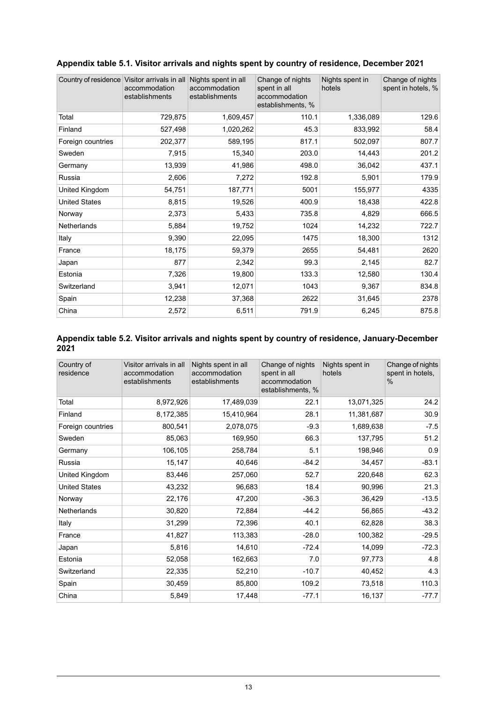| Country of residence Visitor arrivals in all | accommodation<br>establishments | Nights spent in all<br>accommodation<br>establishments | Change of nights<br>spent in all<br>accommodation<br>establishments, % | Nights spent in<br>hotels | Change of nights<br>spent in hotels, % |
|----------------------------------------------|---------------------------------|--------------------------------------------------------|------------------------------------------------------------------------|---------------------------|----------------------------------------|
| Total                                        | 729,875                         | 1,609,457                                              | 110.1                                                                  | 1,336,089                 | 129.6                                  |
| Finland                                      | 527,498                         | 1,020,262                                              | 45.3                                                                   | 833,992                   | 58.4                                   |
| Foreign countries                            | 202,377                         | 589,195                                                | 817.1                                                                  | 502,097                   | 807.7                                  |
| Sweden                                       | 7,915                           | 15,340                                                 | 203.0                                                                  | 14,443                    | 201.2                                  |
| Germany                                      | 13,939                          | 41,986                                                 | 498.0                                                                  | 36,042                    | 437.1                                  |
| Russia                                       | 2,606                           | 7,272                                                  | 192.8                                                                  | 5,901                     | 179.9                                  |
| United Kingdom                               | 54,751                          | 187,771                                                | 5001                                                                   | 155,977                   | 4335                                   |
| <b>United States</b>                         | 8,815                           | 19,526                                                 | 400.9                                                                  | 18,438                    | 422.8                                  |
| Norway                                       | 2,373                           | 5,433                                                  | 735.8                                                                  | 4,829                     | 666.5                                  |
| Netherlands                                  | 5,884                           | 19,752                                                 | 1024                                                                   | 14,232                    | 722.7                                  |
| Italy                                        | 9,390                           | 22,095                                                 | 1475                                                                   | 18,300                    | 1312                                   |
| France                                       | 18,175                          | 59,379                                                 | 2655                                                                   | 54,481                    | 2620                                   |
| Japan                                        | 877                             | 2,342                                                  | 99.3                                                                   | 2,145                     | 82.7                                   |
| Estonia                                      | 7,326                           | 19,800                                                 | 133.3                                                                  | 12,580                    | 130.4                                  |
| Switzerland                                  | 3,941                           | 12,071                                                 | 1043                                                                   | 9,367                     | 834.8                                  |
| Spain                                        | 12,238                          | 37,368                                                 | 2622                                                                   | 31,645                    | 2378                                   |
| China                                        | 2,572                           | 6,511                                                  | 791.9                                                                  | 6,245                     | 875.8                                  |

### <span id="page-12-0"></span>**Appendix table 5.1. Visitor arrivals and nights spent by country of residence, December 2021**

### <span id="page-12-1"></span>**Appendix table 5.2. Visitor arrivals and nights spent by country of residence, January-December 2021**

| Country of<br>residence | Visitor arrivals in all<br>accommodation<br>establishments | Nights spent in all<br>accommodation<br>establishments | Change of nights<br>spent in all<br>accommodation<br>establishments, % | Nights spent in<br>hotels | Change of nights<br>spent in hotels,<br>$\%$ |
|-------------------------|------------------------------------------------------------|--------------------------------------------------------|------------------------------------------------------------------------|---------------------------|----------------------------------------------|
| Total                   | 8,972,926                                                  | 17,489,039                                             | 22.1                                                                   | 13,071,325                | 24.2                                         |
| Finland                 | 8,172,385                                                  | 15,410,964                                             | 28.1                                                                   | 11,381,687                | 30.9                                         |
| Foreign countries       | 800,541                                                    | 2,078,075                                              | $-9.3$                                                                 | 1,689,638                 | $-7.5$                                       |
| Sweden                  | 85,063                                                     | 169,950                                                | 66.3                                                                   | 137,795                   | 51.2                                         |
| Germany                 | 106,105                                                    | 258,784                                                | 5.1                                                                    | 198,946                   | 0.9                                          |
| Russia                  | 15,147                                                     | 40,646                                                 | $-84.2$                                                                | 34,457                    | $-83.1$                                      |
| United Kingdom          | 83,446                                                     | 257,060                                                | 52.7                                                                   | 220,648                   | 62.3                                         |
| <b>United States</b>    | 43,232                                                     | 96,683                                                 | 18.4                                                                   | 90,996                    | 21.3                                         |
| Norway                  | 22,176                                                     | 47,200                                                 | $-36.3$                                                                | 36,429                    | $-13.5$                                      |
| Netherlands             | 30,820                                                     | 72,884                                                 | $-44.2$                                                                | 56,865                    | $-43.2$                                      |
| Italy                   | 31,299                                                     | 72,396                                                 | 40.1                                                                   | 62,828                    | 38.3                                         |
| France                  | 41,827                                                     | 113,383                                                | $-28.0$                                                                | 100,382                   | $-29.5$                                      |
| Japan                   | 5,816                                                      | 14,610                                                 | $-72.4$                                                                | 14,099                    | $-72.3$                                      |
| Estonia                 | 52,058                                                     | 162,663                                                | 7.0                                                                    | 97,773                    | 4.8                                          |
| Switzerland             | 22,335                                                     | 52,210                                                 | $-10.7$                                                                | 40,452                    | 4.3                                          |
| Spain                   | 30,459                                                     | 85,800                                                 | 109.2                                                                  | 73,518                    | 110.3                                        |
| China                   | 5,849                                                      | 17,448                                                 | $-77.1$                                                                | 16,137                    | $-77.7$                                      |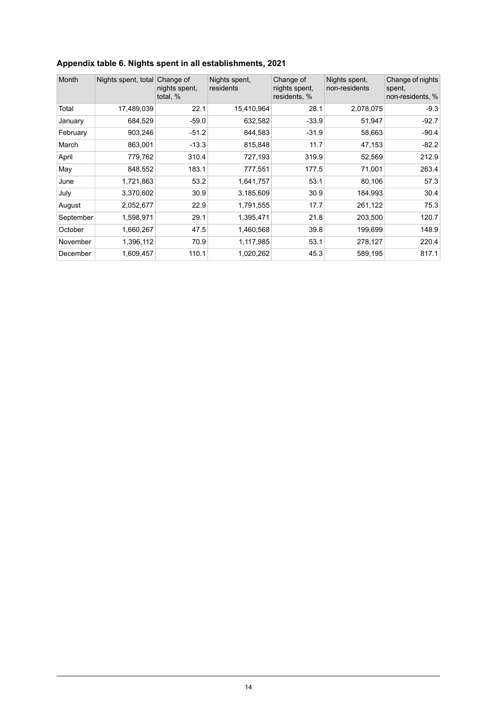### <span id="page-13-0"></span>**Appendix table 6. Nights spent in all establishments, 2021**

| Month     | Nights spent, total Change of | nights spent,<br>total, % | Nights spent.<br>residents | Change of<br>nights spent,<br>residents, % | Nights spent.<br>non-residents | Change of nights<br>spent,<br>non-residents, % |
|-----------|-------------------------------|---------------------------|----------------------------|--------------------------------------------|--------------------------------|------------------------------------------------|
| Total     | 17,489,039                    | 22.1                      | 15,410,964                 | 28.1                                       | 2,078,075                      | $-9.3$                                         |
| January   | 684,529                       | $-59.0$                   | 632,582                    | $-33.9$                                    | 51,947                         | $-92.7$                                        |
| February  | 903,246                       | $-51.2$                   | 844,583                    | $-31.9$                                    | 58,663                         | $-90.4$                                        |
| March     | 863,001                       | $-13.3$                   | 815,848                    | 11.7                                       | 47,153                         | $-82.2$                                        |
| April     | 779,762                       | 310.4                     | 727,193                    | 319.9                                      | 52,569                         | 212.9                                          |
| May       | 848,552                       | 183.1                     | 777,551                    | 177.5                                      | 71,001                         | 263.4                                          |
| June      | 1,721,863                     | 53.2                      | 1,641,757                  | 53.1                                       | 80,106                         | 57.3                                           |
| July      | 3,370,602                     | 30.9                      | 3,185,609                  | 30.9                                       | 184,993                        | 30.4                                           |
| August    | 2,052,677                     | 22.9                      | 1,791,555                  | 17.7                                       | 261,122                        | 75.3                                           |
| September | 1,598,971                     | 29.1                      | 1,395,471                  | 21.8                                       | 203,500                        | 120.7                                          |
| October   | 1,660,267                     | 47.5                      | 1,460,568                  | 39.8                                       | 199,699                        | 148.9                                          |
| November  | 1,396,112                     | 70.9                      | 1,117,985                  | 53.1                                       | 278,127                        | 220.4                                          |
| December  | 1,609,457                     | 110.1                     | 1,020,262                  | 45.3                                       | 589,195                        | 817.1                                          |